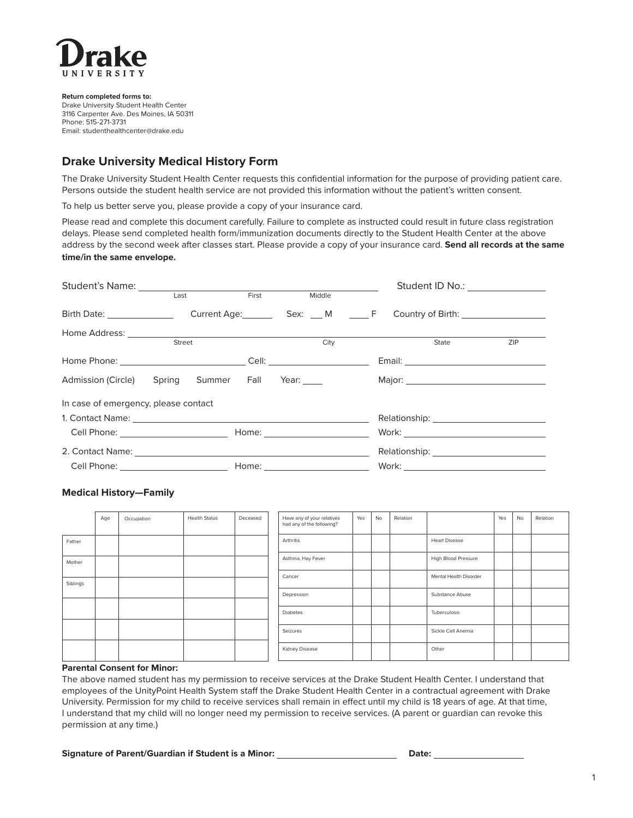

**Return completed forms to:** Drake University Student Health Center 3116 Carpenter Ave. Des Moines, IA 50311 Phone: 515-271-3731 Email: studenthealthcenter@drake.edu

# **Drake University Medical History Form**

The Drake University Student Health Center requests this confidential information for the purpose of providing patient care. Persons outside the student health service are not provided this information without the patient's written consent.

To help us better serve you, please provide a copy of your insurance card.

Please read and complete this document carefully. Failure to complete as instructed could result in future class registration delays. Please send completed health form/immunization documents directly to the Student Health Center at the above address by the second week after classes start. Please provide a copy of your insurance card. **Send all records at the same time/in the same envelope.** 

|                                             |                                             |      | Student ID No.: ________________ |     |
|---------------------------------------------|---------------------------------------------|------|----------------------------------|-----|
| Student's Name:<br>Last First Middle        |                                             |      |                                  |     |
| Birth Date: Current Age: Sex: M _ F         |                                             |      |                                  |     |
|                                             |                                             |      |                                  |     |
|                                             | Street                                      | City | State                            | ZIP |
|                                             |                                             |      |                                  |     |
| Admission (Circle) Spring Summer Fall Year: |                                             |      |                                  |     |
| In case of emergency, please contact        |                                             |      |                                  |     |
|                                             |                                             |      |                                  |     |
|                                             | Cell Phone: ________________________        |      |                                  |     |
|                                             |                                             |      |                                  |     |
|                                             | Cell Phone: <u>________________________</u> |      |                                  |     |

## **Medical History—Family**

|          | Age | Occupation | <b>Health Status</b> | Deceased | Have any of your relatives<br>had any of the following? | Yes | No | Relation |                        | Yes | No | Relation |
|----------|-----|------------|----------------------|----------|---------------------------------------------------------|-----|----|----------|------------------------|-----|----|----------|
| Father   |     |            |                      |          | Arthritis                                               |     |    |          | <b>Heart Disease</b>   |     |    |          |
| Mother   |     |            |                      |          | Asthma, Hay Fever                                       |     |    |          | High Blood Pressure    |     |    |          |
| Siblings |     |            |                      |          | Cancer                                                  |     |    |          | Mental Health Disorder |     |    |          |
|          |     |            |                      |          | Depression                                              |     |    |          | Substance Abuse        |     |    |          |
|          |     |            |                      |          | Diabetes                                                |     |    |          | Tuberculosis           |     |    |          |
|          |     |            |                      |          | Seizures                                                |     |    |          | Sickle Cell Anemia     |     |    |          |
|          |     |            |                      |          | Kidney Disease                                          |     |    |          | Other                  |     |    |          |

#### **Parental Consent for Minor:**

The above named student has my permission to receive services at the Drake Student Health Center. I understand that employees of the UnityPoint Health System staff the Drake Student Health Center in a contractual agreement with Drake University. Permission for my child to receive services shall remain in effect until my child is 18 years of age. At that time, I understand that my child will no longer need my permission to receive services. (A parent or guardian can revoke this permission at any time.)

#### **Signature of Parent/Guardian if Student is a Minor: \_\_\_\_\_\_\_\_\_\_\_\_\_\_\_\_\_\_\_\_\_\_\_\_\_\_\_\_Date: \_\_**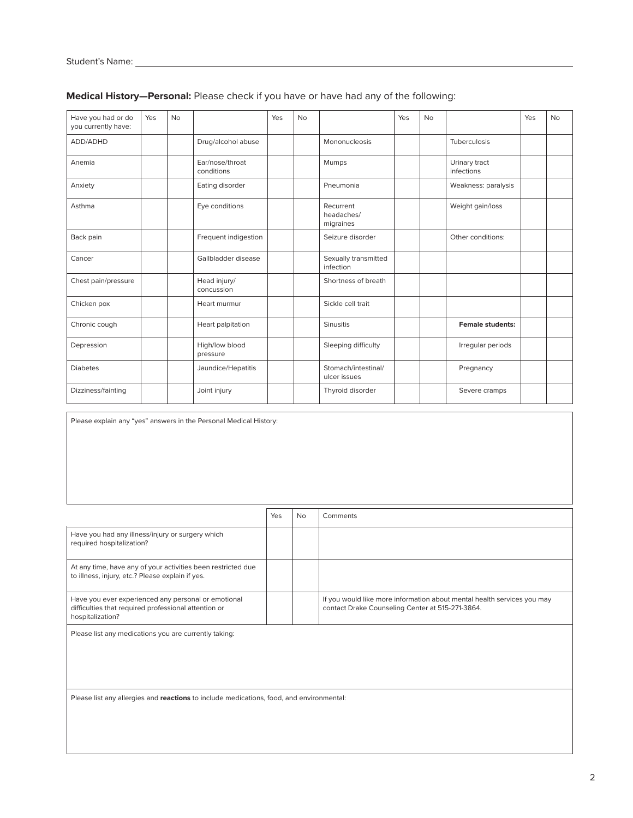| Have you had or do<br>you currently have: | Yes | <b>No</b> |                               | Yes | <b>No</b> |                                      | Yes | <b>No</b> |                             | Yes | <b>No</b> |
|-------------------------------------------|-----|-----------|-------------------------------|-----|-----------|--------------------------------------|-----|-----------|-----------------------------|-----|-----------|
| ADD/ADHD                                  |     |           | Drug/alcohol abuse            |     |           | Mononucleosis                        |     |           | Tuberculosis                |     |           |
| Anemia                                    |     |           | Ear/nose/throat<br>conditions |     |           | Mumps                                |     |           | Urinary tract<br>infections |     |           |
| Anxiety                                   |     |           | Eating disorder               |     |           | Pneumonia                            |     |           | Weakness: paralysis         |     |           |
| Asthma                                    |     |           | Eye conditions                |     |           | Recurrent<br>headaches/<br>migraines |     |           | Weight gain/loss            |     |           |
| Back pain                                 |     |           | Frequent indigestion          |     |           | Seizure disorder                     |     |           | Other conditions:           |     |           |
| Cancer                                    |     |           | Gallbladder disease           |     |           | Sexually transmitted<br>infection    |     |           |                             |     |           |
| Chest pain/pressure                       |     |           | Head injury/<br>concussion    |     |           | Shortness of breath                  |     |           |                             |     |           |
| Chicken pox                               |     |           | Heart murmur                  |     |           | Sickle cell trait                    |     |           |                             |     |           |
| Chronic cough                             |     |           | Heart palpitation             |     |           | <b>Sinusitis</b>                     |     |           | <b>Female students:</b>     |     |           |
| Depression                                |     |           | High/low blood<br>pressure    |     |           | Sleeping difficulty                  |     |           | Irregular periods           |     |           |
| <b>Diabetes</b>                           |     |           | Jaundice/Hepatitis            |     |           | Stomach/intestinal/<br>ulcer issues  |     |           | Pregnancy                   |     |           |
| Dizziness/fainting                        |     |           | Joint injury                  |     |           | Thyroid disorder                     |     |           | Severe cramps               |     |           |

# **Medical History—Personal:** Please check if you have or have had any of the following:

Please explain any "yes" answers in the Personal Medical History:

|                                                                                                                                 | Yes | <b>No</b> | Comments                                                                                                                    |
|---------------------------------------------------------------------------------------------------------------------------------|-----|-----------|-----------------------------------------------------------------------------------------------------------------------------|
| Have you had any illness/injury or surgery which<br>required hospitalization?                                                   |     |           |                                                                                                                             |
| At any time, have any of your activities been restricted due<br>to illness, injury, etc.? Please explain if yes.                |     |           |                                                                                                                             |
| Have you ever experienced any personal or emotional<br>difficulties that required professional attention or<br>hospitalization? |     |           | If you would like more information about mental health services you may<br>contact Drake Counseling Center at 515-271-3864. |

Please list any medications you are currently taking:

Please list any allergies and **reactions** to include medications, food, and environmental: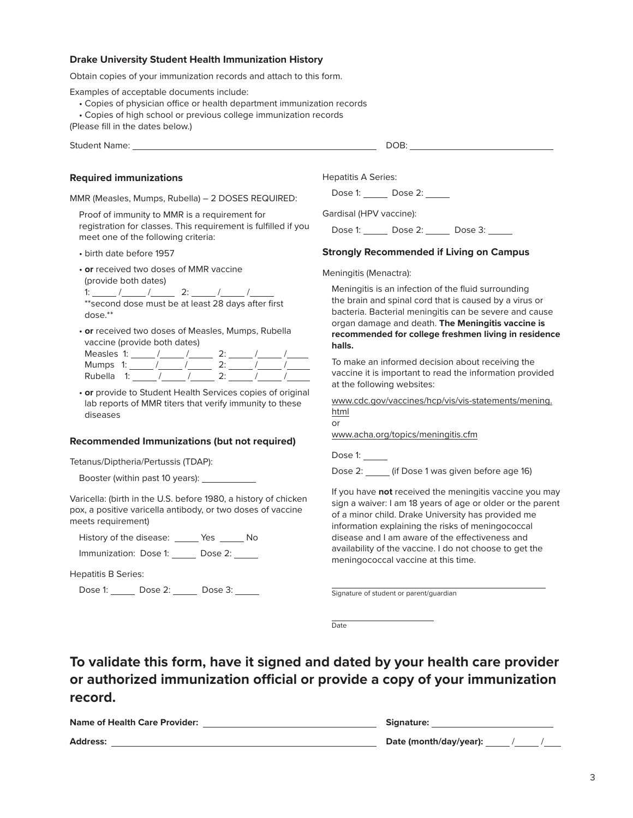### **Drake University Student Health Immunization History**

Obtain copies of your immunization records and attach to this form.

Examples of acceptable documents include:

- Copies of physician office or health department immunization records
- Copies of high school or previous college immunization records

(Please fill in the dates below.)

Student Name: DOB:

### **Required immunizations**

MMR (Measles, Mumps, Rubella) – 2 DOSES REQUIRED:

Proof of immunity to MMR is a requirement for registration for classes. This requirement is fulfilled if you meet one of the following criteria:

• birth date before 1957

• **or** received two doses of MMR vaccine

(provide both dates)

1:  $\frac{1}{\sqrt{2}}$  /  $\frac{2}{\sqrt{2}}$  2:  $\frac{1}{\sqrt{2}}$  /  $\frac{1}{\sqrt{2}}$ \*\*second dose must be at least 28 days after first dose.\*\*

• **or** received two doses of Measles, Mumps, Rubella vaccine (provide both dates)

| Measles 1: |  |  |  |  |  |
|------------|--|--|--|--|--|
| Mumps 1:   |  |  |  |  |  |
| Rubella    |  |  |  |  |  |

• **or** provide to Student Health Services copies of original lab reports of MMR titers that verify immunity to these diseases

#### **Recommended Immunizations (but not required)**

Tetanus/Diptheria/Pertussis (TDAP):

Booster (within past 10 years):

Varicella: (birth in the U.S. before 1980, a history of chicken pox, a positive varicella antibody, or two doses of vaccine meets requirement)

History of the disease: \_\_\_\_\_\_ Yes \_\_\_\_\_\_ No

Immunization: Dose 1: Dose 2:

Hepatitis B Series:

Dose 1: \_\_\_\_\_ Dose 2: \_\_\_\_\_ Dose 3: \_\_\_\_\_

Hepatitis A Series:

Dose 1: Dose 2:

Gardisal (HPV vaccine):

Dose 1: \_\_\_\_\_\_ Dose 2: \_\_\_\_\_\_ Dose 3: \_\_\_\_\_

## **Strongly Recommended if Living on Campus**

#### Meningitis (Menactra):

Meningitis is an infection of the fluid surrounding the brain and spinal cord that is caused by a virus or bacteria. Bacterial meningitis can be severe and cause organ damage and death. **The Meningitis vaccine is recommended for college freshmen living in residence halls.**

To make an informed decision about receiving the vaccine it is important to read the information provided at the following websites:

www.cdc.gov/vaccines/hcp/vis/vis-statements/mening. html

or

www.acha.org/topics/meningitis.cfm

Dose 1:

Dose 2: \_\_\_\_ (if Dose 1 was given before age 16)

If you have **not** received the meningitis vaccine you may sign a waiver: I am 18 years of age or older or the parent of a minor child. Drake University has provided me information explaining the risks of meningococcal disease and I am aware of the effectiveness and availability of the vaccine. I do not choose to get the meningococcal vaccine at this time.

Signature of student or parent/guardian

**D**ate

**To validate this form, have it signed and dated by your health care provider or authorized immunization official or provide a copy of your immunization record.**

| <b>Name of Health Care Provider:</b> | Signature:             |
|--------------------------------------|------------------------|
| <b>Address:</b>                      | Date (month/day/year): |